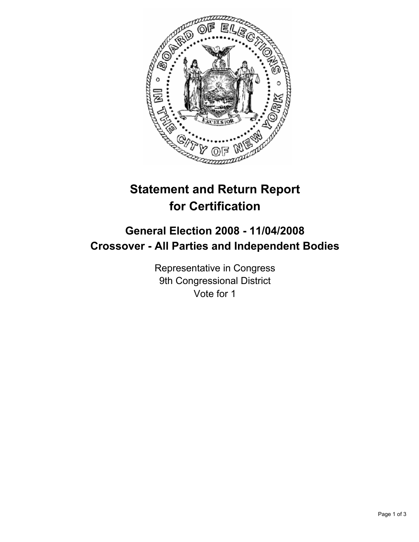

# **Statement and Return Report for Certification**

# **General Election 2008 - 11/04/2008 Crossover - All Parties and Independent Bodies**

Representative in Congress 9th Congressional District Vote for 1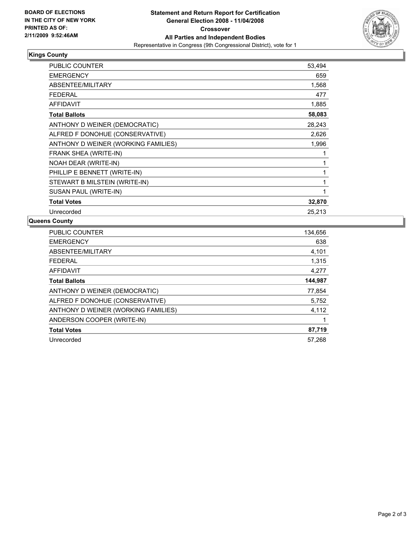

## **Kings County**

| PUBLIC COUNTER                      | 53,494 |  |
|-------------------------------------|--------|--|
| <b>EMERGENCY</b>                    | 659    |  |
| ABSENTEE/MILITARY                   | 1,568  |  |
| <b>FEDERAL</b>                      | 477    |  |
| <b>AFFIDAVIT</b>                    | 1,885  |  |
| <b>Total Ballots</b>                | 58,083 |  |
| ANTHONY D WEINER (DEMOCRATIC)       | 28,243 |  |
| ALFRED F DONOHUE (CONSERVATIVE)     | 2,626  |  |
| ANTHONY D WEINER (WORKING FAMILIES) | 1,996  |  |
| FRANK SHEA (WRITE-IN)               |        |  |
| NOAH DEAR (WRITE-IN)                |        |  |
| PHILLIP E BENNETT (WRITE-IN)        |        |  |
| STEWART B MILSTEIN (WRITE-IN)       |        |  |
| SUSAN PAUL (WRITE-IN)               |        |  |
| <b>Total Votes</b>                  | 32,870 |  |
| Unrecorded                          | 25,213 |  |

### **Queens County**

| <b>PUBLIC COUNTER</b>               | 134,656 |
|-------------------------------------|---------|
| <b>EMERGENCY</b>                    | 638     |
| ABSENTEE/MILITARY                   | 4,101   |
| <b>FEDERAL</b>                      | 1,315   |
| <b>AFFIDAVIT</b>                    | 4,277   |
| <b>Total Ballots</b>                | 144,987 |
| ANTHONY D WEINER (DEMOCRATIC)       | 77,854  |
| ALFRED F DONOHUE (CONSERVATIVE)     | 5,752   |
| ANTHONY D WEINER (WORKING FAMILIES) | 4,112   |
| ANDERSON COOPER (WRITE-IN)          |         |
| <b>Total Votes</b>                  | 87,719  |
| Unrecorded                          | 57,268  |
|                                     |         |